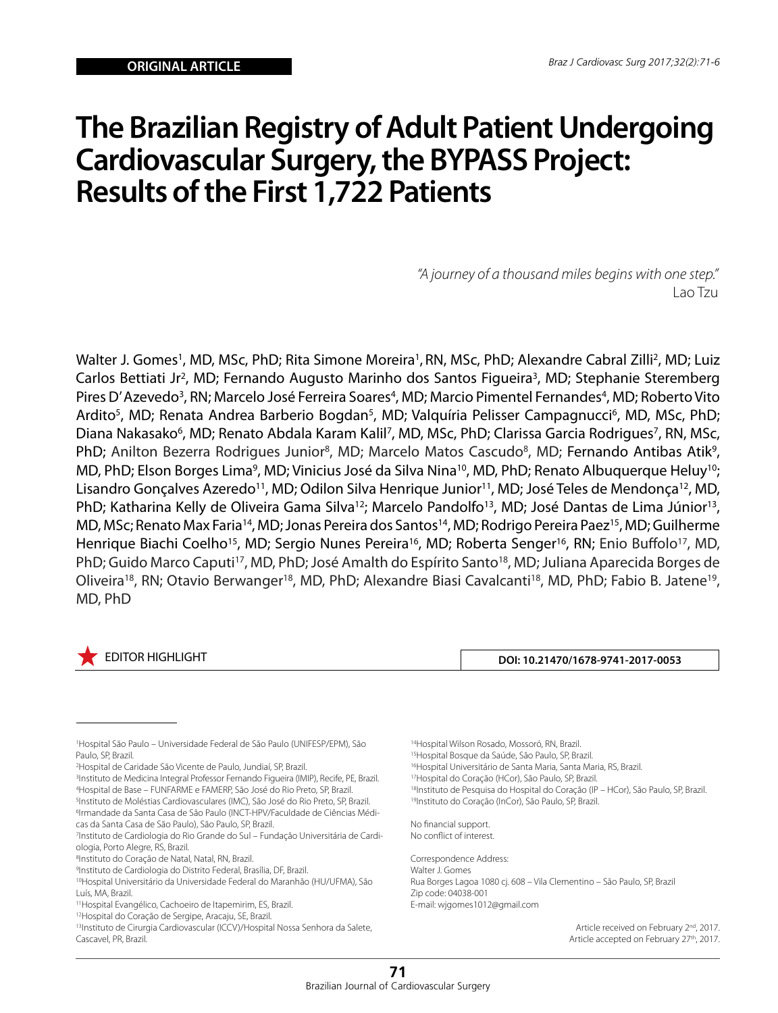# **The Brazilian Registry of Adult Patient Undergoing Cardiovascular Surgery, the BYPASS Project: Results of the First 1,722 Patients**

*"A journey of a thousand miles begins with one step."* Lao Tzu

Walter J. Gomes<sup>1</sup>, MD, MSc, PhD; Rita Simone Moreira<sup>1</sup>, RN, MSc, PhD; Alexandre Cabral Zilli<sup>2</sup>, MD; Luiz Carlos Bettiati Jr<sup>2</sup>, MD; Fernando Augusto Marinho dos Santos Figueira<sup>3</sup>, MD; Stephanie Steremberg Pires D'Azevedo<sup>3</sup>, RN; Marcelo José Ferreira Soares<sup>4</sup>, MD; Marcio Pimentel Fernandes<sup>4</sup>, MD; Roberto Vito Ardito<sup>5</sup>, MD; Renata Andrea Barberio Bogdan<sup>5</sup>, MD; Valquíria Pelisser Campagnucci<sup>6</sup>, MD, MSc, PhD; Diana Nakasako<sup>6</sup>, MD; Renato Abdala Karam Kalil<sup>7</sup>, MD, MSc, PhD; Clarissa Garcia Rodrigues<sup>7</sup>, RN, MSc, PhD; Anilton Bezerra Rodrigues Junior<sup>8</sup>, MD; Marcelo Matos Cascudo<sup>8</sup>, MD; Fernando Antibas Atik<sup>9</sup>, MD, PhD; Elson Borges Lima<sup>9</sup>, MD; Vinicius José da Silva Nina<sup>10</sup>, MD, PhD; Renato Albuquerque Heluy<sup>10</sup>; Lisandro Gonçalves Azeredo<sup>11</sup>, MD; Odilon Silva Henrique Junior<sup>11</sup>, MD; José Teles de Mendonça<sup>12</sup>, MD, PhD; Katharina Kelly de Oliveira Gama Silva<sup>12</sup>; Marcelo Pandolfo<sup>13</sup>, MD; José Dantas de Lima Júnior<sup>13</sup>, MD, MSc; Renato Max Faria<sup>14</sup>, MD; Jonas Pereira dos Santos<sup>14</sup>, MD; Rodrigo Pereira Paez<sup>15</sup>, MD; Guilherme Henrique Biachi Coelho<sup>15</sup>, MD; Sergio Nunes Pereira<sup>16</sup>, MD; Roberta Senger<sup>16</sup>, RN; Enio Buffolo<sup>17</sup>, MD, PhD; Guido Marco Caputi<sup>17</sup>, MD, PhD; José Amalth do Espírito Santo<sup>18</sup>, MD; Juliana Aparecida Borges de Oliveira<sup>18</sup>, RN; Otavio Berwanger<sup>18</sup>, MD, PhD; Alexandre Biasi Cavalcanti<sup>18</sup>, MD, PhD; Fabio B. Jatene<sup>19</sup>, MD, PhD



**DOI: 10.21470/1678-9741-2017-0053**

 Instituto de Medicina Integral Professor Fernando Figueira (IMIP), Recife, PE, Brazil. Hospital de Base – FUNFARME e FAMERP, São José do Rio Preto, SP, Brazil. Instituto de Moléstias Cardiovasculares (IMC), São José do Rio Preto, SP, Brazil. Irmandade da Santa Casa de São Paulo (INCT-HPV/Faculdade de Ciências Médi-

cas da Santa Casa de São Paulo), São Paulo, SP, Brazil. 7 Instituto de Cardiologia do Rio Grande do Sul – Fundação Universitária de Cardi-

14Hospital Wilson Rosado, Mossoró, RN, Brazil. 15Hospital Bosque da Saúde, São Paulo, SP, Brazil. 16Hospital Universitário de Santa Maria, Santa Maria, RS, Brazil. 17Hospital do Coração (HCor), São Paulo, SP, Brazil. 18Instituto de Pesquisa do Hospital do Coração (IP - HCor), São Paulo, SP, Brazil. 19Instituto do Coração (InCor), São Paulo, SP, Brazil. No financial support. No conflict of interest.

Correspondence Address: Walter J. Gomes Rua Borges Lagoa 1080 cj. 608 – Vila Clementino – São Paulo, SP, Brazil Zip code: 04038-001 E-mail: wjgomes1012@gmail.com

> Article received on February 2<sup>nd</sup>, 2017. Article accepted on February 27th, 2017.

<sup>1</sup> Hospital São Paulo – Universidade Federal de São Paulo (UNIFESP/EPM), São Paulo, SP, Brazil.

<sup>2</sup> Hospital de Caridade São Vicente de Paulo, Jundiaí, SP, Brazil.

ologia, Porto Alegre, RS, Brazil.

<sup>8</sup> Instituto do Coração de Natal, Natal, RN, Brazil.

<sup>9</sup> Instituto de Cardiologia do Distrito Federal, Brasília, DF, Brazil.

<sup>10</sup>Hospital Universitário da Universidade Federal do Maranhão (HU/UFMA), São Luís, MA, Brazil.

<sup>11</sup>Hospital Evangélico, Cachoeiro de Itapemirim, ES, Brazil.

<sup>12</sup>Hospital do Coração de Sergipe, Aracaju, SE, Brazil.

<sup>13</sup>Instituto de Cirurgia Cardiovascular (ICCV)/Hospital Nossa Senhora da Salete, Cascavel, PR, Brazil.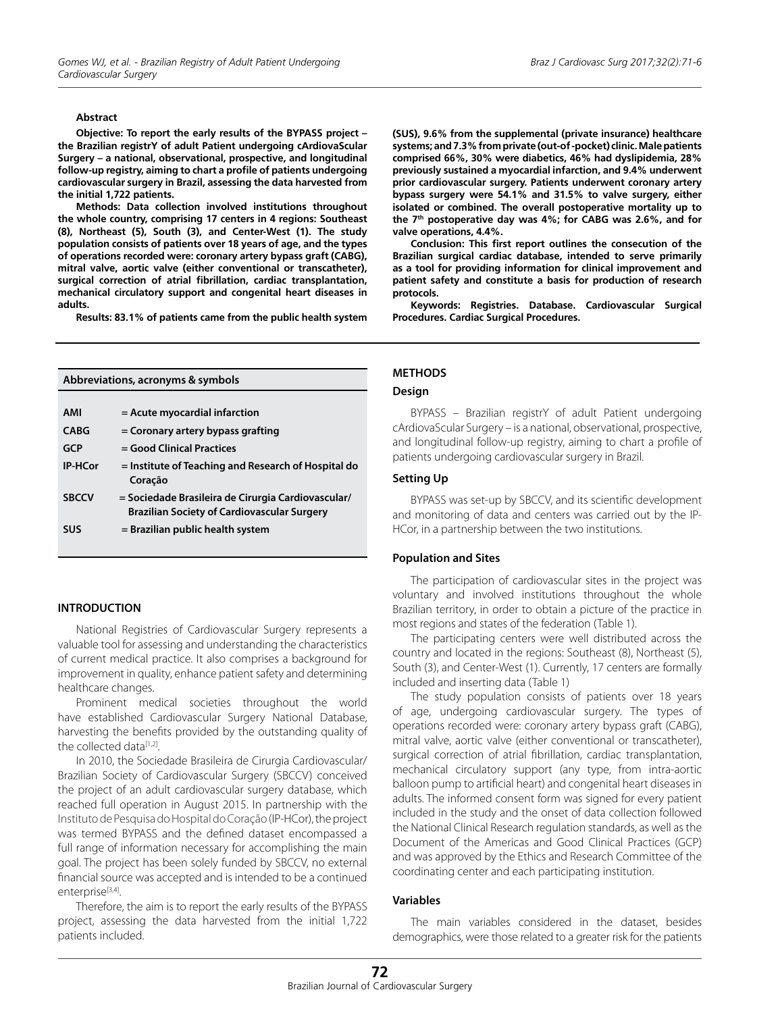#### **Abstract**

**Objective: To report the early results of the BYPASS project – the Brazilian registrY of adult Patient undergoing cArdiovaScular Surgery – a national, observational, prospective, and longitudinal follow-up registry, aiming to chart a profile of patients undergoing cardiovascular surgery in Brazil, assessing the data harvested from the initial 1,722 patients.** 

**Methods: Data collection involved institutions throughout the whole country, comprising 17 centers in 4 regions: Southeast (8), Northeast (5), South (3), and Center-West (1). The study population consists of patients over 18 years of age, and the types of operations recorded were: coronary artery bypass graft (CABG), mitral valve, aortic valve (either conventional or transcatheter), surgical correction of atrial fibrillation, cardiac transplantation, mechanical circulatory support and congenital heart diseases in adults.**

**Results: 83.1% of patients came from the public health system** 

**(SUS), 9.6% from the supplemental (private insurance) healthcare systems; and 7.3% from private (out-of -pocket) clinic. Male patients comprised 66%, 30% were diabetics, 46% had dyslipidemia, 28% previously sustained a myocardial infarction, and 9.4% underwent prior cardiovascular surgery. Patients underwent coronary artery bypass surgery were 54.1% and 31.5% to valve surgery, either isolated or combined. The overall postoperative mortality up to the 7th postoperative day was 4%; for CABG was 2.6%, and for valve operations, 4.4%.** 

**Conclusion: This first report outlines the consecution of the Brazilian surgical cardiac database, intended to serve primarily as a tool for providing information for clinical improvement and patient safety and constitute a basis for production of research protocols.**

**Keywords: Registries. Database. Cardiovascular Surgical Procedures. Cardiac Surgical Procedures.**

# **Abbreviations, acronyms & symbols**

| AMI            | $=$ Acute myocardial infarction                                                                          |
|----------------|----------------------------------------------------------------------------------------------------------|
| <b>CABG</b>    | $=$ Coronary artery bypass grafting                                                                      |
| <b>GCP</b>     | = Good Clinical Practices                                                                                |
| <b>IP-HCor</b> | = Institute of Teaching and Research of Hospital do<br>Coração                                           |
| <b>SBCCV</b>   | = Sociedade Brasileira de Cirurgia Cardiovascular/<br><b>Brazilian Society of Cardiovascular Surgery</b> |

**SUS = Brazilian public health system** 

# **INTRODUCTION**

National Registries of Cardiovascular Surgery represents a valuable tool for assessing and understanding the characteristics of current medical practice. It also comprises a background for improvement in quality, enhance patient safety and determining healthcare changes.

Prominent medical societies throughout the world have established Cardiovascular Surgery National Database, harvesting the benefits provided by the outstanding quality of the collected data<sup>[1,2]</sup>.

In 2010, the Sociedade Brasileira de Cirurgia Cardiovascular/ Brazilian Society of Cardiovascular Surgery (SBCCV) conceived the project of an adult cardiovascular surgery database, which reached full operation in August 2015. In partnership with the Instituto de Pesquisa do Hospital do Coração (IP-HCor), the project was termed BYPASS and the defined dataset encompassed a full range of information necessary for accomplishing the main goal. The project has been solely funded by SBCCV, no external financial source was accepted and is intended to be a continued enterprise<sup>[3,4]</sup>.

Therefore, the aim is to report the early results of the BYPASS project, assessing the data harvested from the initial 1,722 patients included.

# **METHODS**

#### **Design**

BYPASS – Brazilian registrY of adult Patient undergoing cArdiovaScular Surgery – is a national, observational, prospective, and longitudinal follow-up registry, aiming to chart a profile of patients undergoing cardiovascular surgery in Brazil.

## **Setting Up**

BYPASS was set-up by SBCCV, and its scientific development and monitoring of data and centers was carried out by the IP-HCor, in a partnership between the two institutions.

# **Population and Sites**

The participation of cardiovascular sites in the project was voluntary and involved institutions throughout the whole Brazilian territory, in order to obtain a picture of the practice in most regions and states of the federation (Table 1).

The participating centers were well distributed across the country and located in the regions: Southeast (8), Northeast (5), South (3), and Center-West (1). Currently, 17 centers are formally included and inserting data (Table 1)

The study population consists of patients over 18 years of age, undergoing cardiovascular surgery. The types of operations recorded were: coronary artery bypass graft (CABG), mitral valve, aortic valve (either conventional or transcatheter), surgical correction of atrial fibrillation, cardiac transplantation, mechanical circulatory support (any type, from intra-aortic balloon pump to artificial heart) and congenital heart diseases in adults. The informed consent form was signed for every patient included in the study and the onset of data collection followed the National Clinical Research regulation standards, as well as the Document of the Americas and Good Clinical Practices (GCP) and was approved by the Ethics and Research Committee of the coordinating center and each participating institution.

# **Variables**

The main variables considered in the dataset, besides demographics, were those related to a greater risk for the patients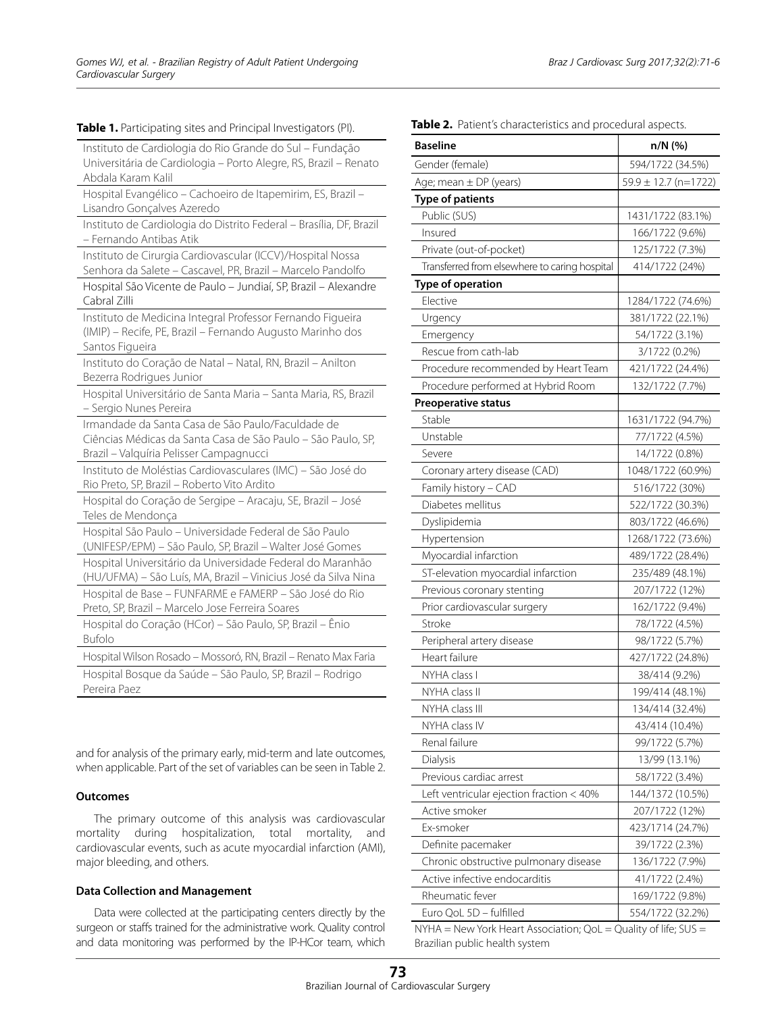|  | Table 1. Participating sites and Principal Investigators (PI). |  |  |  |  |
|--|----------------------------------------------------------------|--|--|--|--|
|--|----------------------------------------------------------------|--|--|--|--|

| <b>Table 1.</b> Participating sites and Principal Investigators (PI).                                                                                        |  |
|--------------------------------------------------------------------------------------------------------------------------------------------------------------|--|
| Instituto de Cardiologia do Rio Grande do Sul - Fundação<br>Universitária de Cardiologia - Porto Alegre, RS, Brazil - Renato<br>Abdala Karam Kalil           |  |
| Hospital Evangélico - Cachoeiro de Itapemirim, ES, Brazil -<br>Lisandro Gonçalves Azeredo                                                                    |  |
| Instituto de Cardiologia do Distrito Federal - Brasília, DF, Brazil<br>- Fernando Antibas Atik                                                               |  |
| Instituto de Cirurgia Cardiovascular (ICCV)/Hospital Nossa<br>Senhora da Salete - Cascavel, PR, Brazil - Marcelo Pandolfo                                    |  |
| Hospital São Vicente de Paulo - Jundiaí, SP, Brazil - Alexandre<br>Cabral Zilli                                                                              |  |
| Instituto de Medicina Integral Professor Fernando Figueira<br>(IMIP) - Recife, PE, Brazil - Fernando Augusto Marinho dos<br>Santos Figueira                  |  |
| Instituto do Coração de Natal - Natal, RN, Brazil - Anilton<br>Bezerra Rodrigues Junior                                                                      |  |
| Hospital Universitário de Santa Maria - Santa Maria, RS, Brazil<br>- Sergio Nunes Pereira                                                                    |  |
| Irmandade da Santa Casa de São Paulo/Faculdade de<br>Ciências Médicas da Santa Casa de São Paulo - São Paulo, SP,<br>Brazil - Valquíria Pelisser Campagnucci |  |
| Instituto de Moléstias Cardiovasculares (IMC) - São José do<br>Rio Preto, SP, Brazil - Roberto Vito Ardito                                                   |  |
| Hospital do Coração de Sergipe - Aracaju, SE, Brazil - José<br>Teles de Mendonça                                                                             |  |
| Hospital São Paulo - Universidade Federal de São Paulo<br>(UNIFESP/EPM) - São Paulo, SP, Brazil - Walter José Gomes                                          |  |
| Hospital Universitário da Universidade Federal do Maranhão<br>(HU/UFMA) - São Luís, MA, Brazil - Vinicius José da Silva Nina                                 |  |
| Hospital de Base - FUNFARME e FAMERP - São José do Rio<br>Preto, SP, Brazil - Marcelo Jose Ferreira Soares                                                   |  |
| Hospital do Coração (HCor) - São Paulo, SP, Brazil - Ênio<br><b>Bufolo</b>                                                                                   |  |
| Hospital Wilson Rosado - Mossoró, RN, Brazil - Renato Max Faria                                                                                              |  |
| Hospital Bosque da Saúde - São Paulo, SP, Brazil - Rodrigo<br>Pereira Paez                                                                                   |  |

and for analysis of the primary early, mid-term and late outcomes, when applicable. Part of the set of variables can be seen in Table 2.

# **Outcomes**

The primary outcome of this analysis was cardiovascular mortality during hospitalization, total mortality, and cardiovascular events, such as acute myocardial infarction (AMI), major bleeding, and others.

# **Data Collection and Management**

Data were collected at the participating centers directly by the surgeon or staffs trained for the administrative work. Quality control and data monitoring was performed by the IP-HCor team, which

|  |  | Table 2. Patient's characteristics and procedural aspects. |  |  |  |
|--|--|------------------------------------------------------------|--|--|--|
|--|--|------------------------------------------------------------|--|--|--|

| <b>Baseline</b>                                                   | n/N (%)                  |  |
|-------------------------------------------------------------------|--------------------------|--|
| Gender (female)                                                   | 594/1722 (34.5%)         |  |
| Age; mean $\pm$ DP (years)                                        | $59.9 \pm 12.7$ (n=1722) |  |
| <b>Type of patients</b>                                           |                          |  |
| Public (SUS)                                                      | 1431/1722 (83.1%)        |  |
| Insured                                                           | 166/1722 (9.6%)          |  |
| Private (out-of-pocket)                                           | 125/1722 (7.3%)          |  |
| Transferred from elsewhere to caring hospital                     | 414/1722 (24%)           |  |
| Type of operation                                                 |                          |  |
| Elective                                                          | 1284/1722 (74.6%)        |  |
| Urgency                                                           | 381/1722 (22.1%)         |  |
| Emergency                                                         | 54/1722 (3.1%)           |  |
| Rescue from cath-lab                                              | 3/1722 (0.2%)            |  |
| Procedure recommended by Heart Team                               | 421/1722 (24.4%)         |  |
| Procedure performed at Hybrid Room                                | 132/1722 (7.7%)          |  |
| Preoperative status                                               |                          |  |
| Stable                                                            | 1631/1722 (94.7%)        |  |
| Unstable                                                          | 77/1722 (4.5%)           |  |
| Severe                                                            | 14/1722 (0.8%)           |  |
| Coronary artery disease (CAD)                                     | 1048/1722 (60.9%)        |  |
| Family history - CAD                                              | 516/1722 (30%)           |  |
| Diabetes mellitus                                                 | 522/1722 (30.3%)         |  |
| Dyslipidemia                                                      | 803/1722 (46.6%)         |  |
| Hypertension                                                      | 1268/1722 (73.6%)        |  |
| Myocardial infarction                                             | 489/1722 (28.4%)         |  |
| ST-elevation myocardial infarction                                | 235/489 (48.1%)          |  |
| Previous coronary stenting                                        | 207/1722 (12%)           |  |
| Prior cardiovascular surgery                                      | 162/1722 (9.4%)          |  |
| Stroke                                                            | 78/1722 (4.5%)           |  |
| Peripheral artery disease                                         | 98/1722 (5.7%)           |  |
| Heart failure                                                     | 427/1722 (24.8%)         |  |
| NYHA class I                                                      | 38/414 (9.2%)            |  |
| NYHA class II                                                     | 199/414 (48.1%)          |  |
| NYHA class III                                                    | 134/414 (32.4%)          |  |
| NYHA class IV                                                     | 43/414 (10.4%)           |  |
| Renal failure                                                     | 99/1722 (5.7%)           |  |
| Dialysis                                                          | 13/99 (13.1%)            |  |
| Previous cardiac arrest                                           | 58/1722 (3.4%)           |  |
| Left ventricular ejection fraction < 40%                          | 144/1372 (10.5%)         |  |
| Active smoker                                                     | 207/1722 (12%)           |  |
| Ex-smoker                                                         | 423/1714 (24.7%)         |  |
| Definite pacemaker                                                | 39/1722 (2.3%)           |  |
| Chronic obstructive pulmonary disease                             | 136/1722 (7.9%)          |  |
| Active infective endocarditis                                     | 41/1722 (2.4%)           |  |
| Rheumatic fever                                                   | 169/1722 (9.8%)          |  |
| Euro QoL 5D - fulfilled                                           | 554/1722 (32.2%)         |  |
| $NYHA = New York Heart Association; QoL = Quality of life; SUS =$ |                          |  |
| Brazilian public health system                                    |                          |  |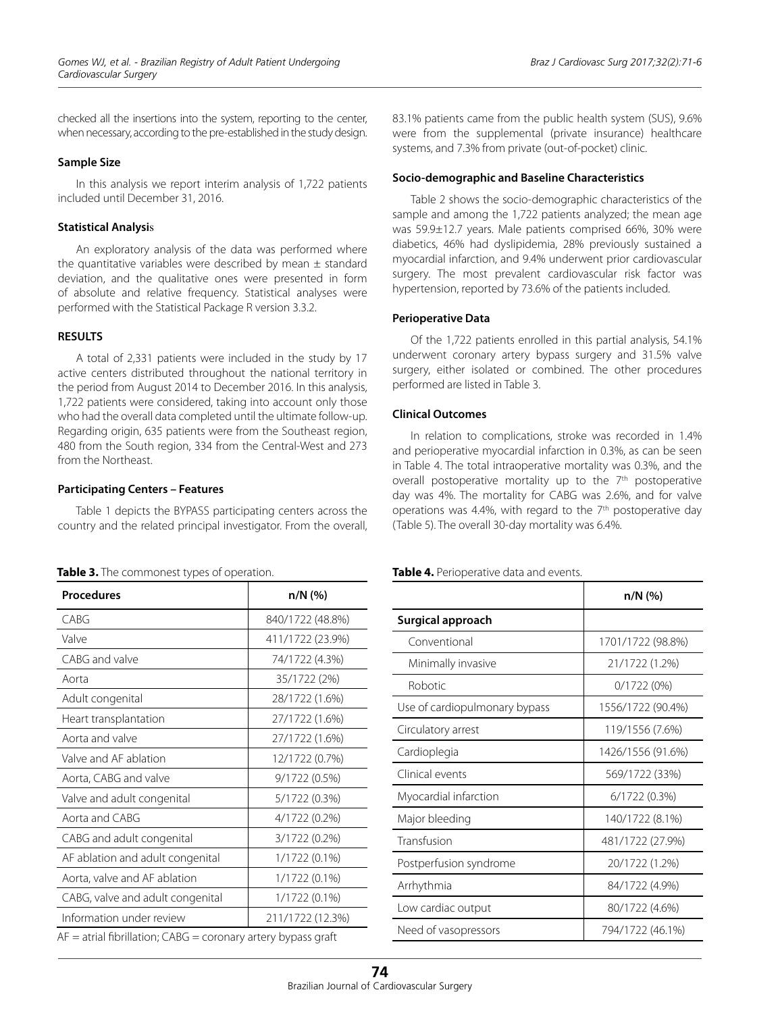checked all the insertions into the system, reporting to the center, when necessary, according to the pre-established in the study design.

#### **Sample Size**

In this analysis we report interim analysis of 1,722 patients included until December 31, 2016.

## **Statistical Analysi**s

An exploratory analysis of the data was performed where the quantitative variables were described by mean  $\pm$  standard deviation, and the qualitative ones were presented in form of absolute and relative frequency. Statistical analyses were performed with the Statistical Package R version 3.3.2.

# **RESULTS**

A total of 2,331 patients were included in the study by 17 active centers distributed throughout the national territory in the period from August 2014 to December 2016. In this analysis, 1,722 patients were considered, [taking into account](http://www.thefreedictionary.com/account) only those who had the overall data completed until the ultimate follow-up. Regarding origin, 635 patients were from the Southeast region, 480 from the South region, 334 from the Central-West and 273 from the Northeast.

## **Participating Centers – Features**

Table 1 depicts the BYPASS participating centers across the country and the related principal investigator. From the overall,

| Table 3. The commonest types of operation. |  |
|--------------------------------------------|--|
|--------------------------------------------|--|

| $n/N$ (%)        |  |
|------------------|--|
| 840/1722 (48.8%) |  |
| 411/1722 (23.9%) |  |
| 74/1722 (4.3%)   |  |
| 35/1722 (2%)     |  |
| 28/1722 (1.6%)   |  |
| 27/1722 (1.6%)   |  |
| 27/1722 (1.6%)   |  |
| 12/1722 (0.7%)   |  |
| 9/1722 (0.5%)    |  |
| 5/1722 (0.3%)    |  |
| 4/1722 (0.2%)    |  |
| 3/1722 (0.2%)    |  |
| 1/1722 (0.1%)    |  |
| 1/1722 (0.1%)    |  |
| 1/1722 (0.1%)    |  |
| 211/1722 (12.3%) |  |
|                  |  |

83.1% patients came from the public health system (SUS), 9.6% were from the supplemental (private insurance) healthcare systems, and 7.3% from private (out-of-pocket) clinic.

## **Socio-demographic and Baseline Characteristics**

Table 2 shows the socio-demographic characteristics of the sample and among the 1,722 patients analyzed; the mean age was 59.9±12.7 years. Male patients comprised 66%, 30% were diabetics, 46% had dyslipidemia, 28% previously sustained a myocardial infarction, and 9.4% underwent prior cardiovascular surgery. The most prevalent cardiovascular risk factor was hypertension, reported by 73.6% of the patients included.

# **Perioperative Data**

Of the 1,722 patients enrolled in this partial analysis, 54.1% underwent coronary artery bypass surgery and 31.5% valve surgery, either isolated or combined. The other procedures performed are listed in Table 3.

## **Clinical Outcomes**

In relation to complications, stroke was recorded in 1.4% and perioperative myocardial infarction in 0.3%, as can be seen in Table 4. The total intraoperative mortality was 0.3%, and the overall postoperative mortality up to the 7<sup>th</sup> postoperative day was 4%. The mortality for CABG was 2.6%, and for valve operations was 4.4%, with regard to the  $7<sup>th</sup>$  postoperative day (Table 5). The overall 30-day mortality was 6.4%.

#### **Table 4.** Perioperative data and events.

|                               | $n/N$ (%)         |
|-------------------------------|-------------------|
| Surgical approach             |                   |
| Conventional                  | 1701/1722 (98.8%) |
| Minimally invasive            | 21/1722 (1.2%)    |
| Robotic                       | 0/1722 (0%)       |
| Use of cardiopulmonary bypass | 1556/1722 (90.4%) |
| Circulatory arrest            | 119/1556 (7.6%)   |
| Cardioplegia                  | 1426/1556 (91.6%) |
| Clinical events               | 569/1722 (33%)    |
| Myocardial infarction         | 6/1722 (0.3%)     |
| Major bleeding                | 140/1722 (8.1%)   |
| Transfusion                   | 481/1722 (27.9%)  |
| Postperfusion syndrome        | 20/1722 (1.2%)    |
| Arrhythmia                    | 84/1722 (4.9%)    |
| Low cardiac output            | 80/1722 (4.6%)    |
| Need of vasopressors          | 794/1722 (46.1%)  |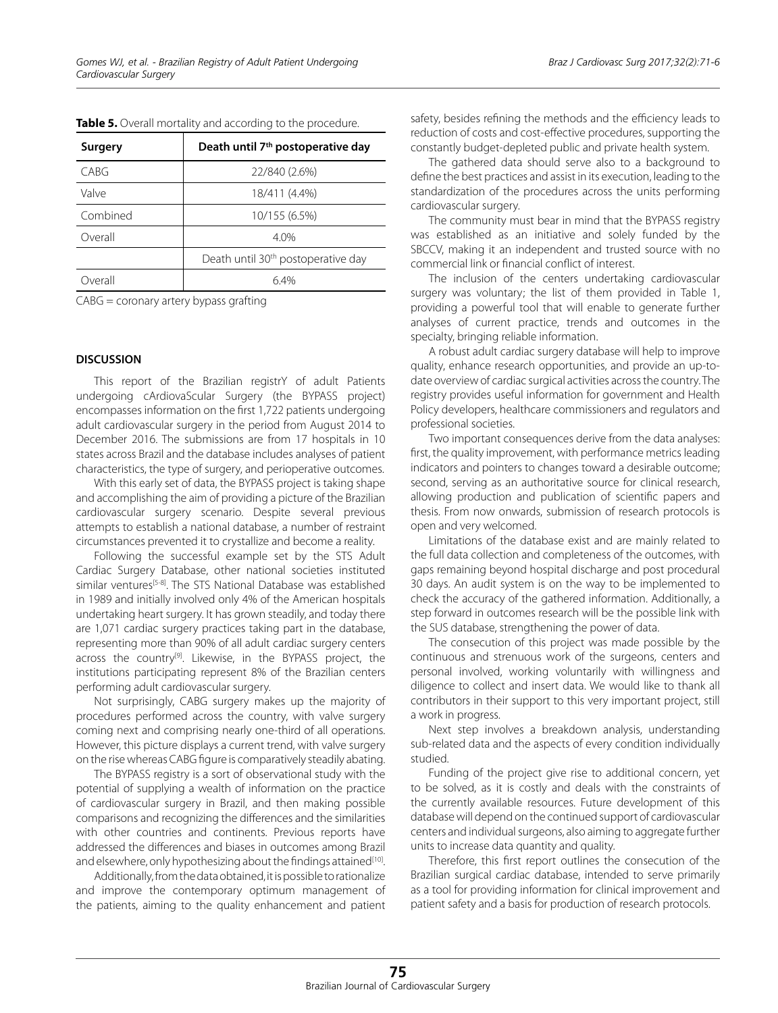| Surgery  | Death until 7 <sup>th</sup> postoperative day  |
|----------|------------------------------------------------|
| CABG     | 22/840 (2.6%)                                  |
| Valve    | 18/411 (4.4%)                                  |
| Combined | 10/155 (6.5%)                                  |
| Overall  | 4.0%                                           |
|          | Death until 30 <sup>th</sup> postoperative day |
| Overall  | 64%                                            |

**Table 5.** Overall mortality and according to the procedure.

CABG = coronary artery bypass grafting

# **DISCUSSION**

This report of the Brazilian registrY of adult Patients undergoing cArdiovaScular Surgery (the BYPASS project) encompasses information on the first 1,722 patients undergoing adult cardiovascular surgery in the period from August 2014 to December 2016. The submissions are from 17 hospitals in 10 states across Brazil and the database includes analyses of patient characteristics, the type of surgery, and perioperative outcomes.

With this early set of data, the BYPASS project is taking shape and accomplishing the aim of providing a picture of the Brazilian cardiovascular surgery scenario. Despite several previous attempts to establish a national database, a number of restraint circumstances prevented it to crystallize and become a reality.

Following the successful example set by the STS Adult Cardiac Surgery Database, other national societies instituted similar ventures<sup>[5-8]</sup>. The STS National Database was established in 1989 and initially involved only 4% of the American hospitals undertaking heart surgery. It has grown steadily, and today there are 1,071 cardiac surgery practices taking part in the database, representing more than 90% of all adult cardiac surgery centers across the country<sup>[9]</sup>. Likewise, in the BYPASS project, the institutions participating represent 8% of the Brazilian centers performing adult cardiovascular surgery.

Not surprisingly, CABG surgery makes up the majority of procedures performed across the country, with valve surgery coming next and comprising nearly one-third of all operations. However, this picture displays a current trend, with valve surgery on the rise whereas CABG figure is comparatively steadily abating.

The BYPASS registry is a sort of observational study with the potential of supplying a wealth of information on the practice of cardiovascular surgery in Brazil, and then making possible comparisons and recognizing the differences and the similarities with other countries and continents. Previous reports have addressed the differences and biases in outcomes among Brazil and elsewhere, only hypothesizing about the findings attained<sup>[10]</sup>.

Additionally, from the data obtained, it is possible to rationalize and improve the contemporary optimum management of the patients, aiming to the quality enhancement and patient safety, besides refining the methods and the efficiency leads to reduction of costs and cost-effective procedures, supporting the constantly budget-depleted public and private health system.

The gathered data should serve also to a background to define the best practices and assist in its execution, leading to the standardization of the procedures across the units performing cardiovascular surgery.

The community must bear in mind that the BYPASS registry was established as an initiative and solely funded by the SBCCV, making it an independent and trusted source with no commercial link or financial conflict of interest.

The inclusion of the centers undertaking cardiovascular surgery was voluntary; the list of them provided in Table 1, providing a powerful tool that will enable to generate further analyses of current practice, trends and outcomes in the specialty, bringing reliable information.

A robust adult cardiac surgery database will help to improve quality, enhance research opportunities, and provide an up-todate overview of cardiac surgical activities across the country. The registry provides useful information for government and Health Policy developers, healthcare commissioners and regulators and professional societies.

Two important consequences derive from the data analyses: first, the quality improvement, with performance metrics leading indicators and pointers to changes toward a desirable outcome; second, serving as an authoritative source for clinical research, allowing production and publication of scientific papers and thesis. From now onwards, submission of research protocols is open and very welcomed.

Limitations of the database exist and are mainly related to the full data collection and completeness of the outcomes, with gaps remaining beyond hospital discharge and post procedural 30 days. An audit system is on the way to be implemented to check the accuracy of the gathered information. Additionally, a step forward in outcomes research will be the possible link with the SUS database, strengthening the power of data.

The consecution of this project was made possible by the continuous and strenuous work of the surgeons, centers and personal involved, working voluntarily with willingness and diligence to collect and insert data. We would like to thank all contributors in their support to this very important project, still a work in progress.

Next step involves a breakdown analysis, understanding sub-related data and the aspects of every condition individually studied.

Funding of the project give rise to additional concern, yet to be solved, as it is costly and deals with the constraints of the currently available resources. Future development of this database will depend on the continued support of cardiovascular centers and individual surgeons, also aiming to aggregate further units to increase data quantity and quality.

Therefore, this first report outlines the consecution of the Brazilian surgical cardiac database, intended to serve primarily as a tool for providing information for clinical improvement and patient safety and a basis for production of research protocols.